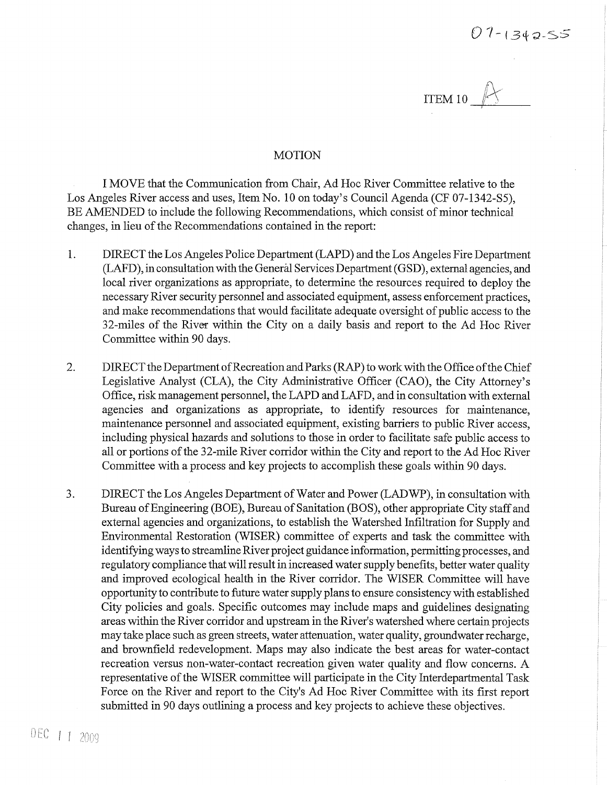$ITEM 10$   $\n *11*$ 

## **MOTION**

I MOVE that the Communication from Chair, Ad Hoc River Committee relative to the Los Angeles River access and uses, Item No. 10 on today's Council Agenda (CF 07-1342-S5), BE AMENDED to include the following Recommendations, which consist of minor technical changes, in lieu of the Recommendations contained in the report:

- 1. DIRECT the Los Angeles Police Department (LAPD) and the Los Angeles Fire Department (LAFD), in consultation with the General Services Department (GSD), external agencies, and local river organizations as appropriate, to determine the resources required to deploy the necessary River security personnel and associated equipment, assess enforcement practices, and make recommendations that would facilitate adequate oversight of public access to the 32-miles of the River within the City on a daily basis and report to the Ad Hoc River Committee within 90 days.
- 2. DIRECT the Department of Recreation and Parks (RAP) to work with the Office of the Chief Legislative Analyst (CLA), the City Administrative Officer (CAO), the City Attorney's Office, risk management personnel, the LAPD and LAFD, and in consultation with external agencies and organizations as appropriate, to identify resources for maintenance, maintenance personnel and associated equipment, existing barriers to public River access, including physical hazards and solutions to those in order to facilitate safe public access to all or portions of the 32-mile River corridor within the City and report to the Ad Hoc River Committee with a process and key projects to accomplish these goals within 90 days.
- 3. DIRECT the Los Angeles Department of Water and Power (LADWP), in consultation with Bureau of Engineering (BOE), Bureau of Sanitation (BOS), other appropriate City staff and external agencies and organizations, to establish the Watershed Infiltration for Supply and Environmental Restoration (WISER) committee of experts and task the committee with identifying ways to streamline River project guidance information, permitting processes, and regulatory compliance that will result in increased water supply benefits, better water quality and improved ecological health in the River corridor. The WISER Committee will have opportunity to contribute to future water supply plans to ensure consistency with established City policies and goals. Specific outcomes may include maps and guidelines designating areas within the River corridor and upstream in the River's watershed where certain projects may take place such as green streets, water attenuation, water quality, groundwater recharge, and brownfield redevelopment. Maps may also indicate the best areas for water-contact recreation versus non-water-contact recreation given water quality and flow concerns. A representative of the WISER committee will participate in the City Interdepartmental Task Force on the River and report to the City's Ad Hoc River Committee with its first report submitted in 90 days outlining a process and key projects to achieve these objectives.